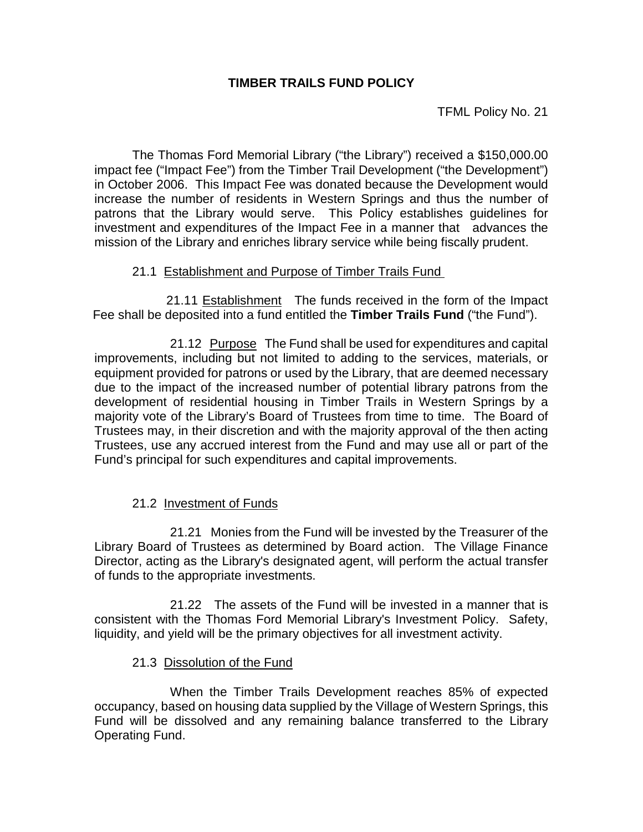## **TIMBER TRAILS FUND POLICY**

TFML Policy No. 21

The Thomas Ford Memorial Library ("the Library") received a \$150,000.00 impact fee ("Impact Fee") from the Timber Trail Development ("the Development") in October 2006. This Impact Fee was donated because the Development would increase the number of residents in Western Springs and thus the number of patrons that the Library would serve. This Policy establishes guidelines for investment and expenditures of the Impact Fee in a manner that advances the mission of the Library and enriches library service while being fiscally prudent.

## 21.1 Establishment and Purpose of Timber Trails Fund

 21.11 Establishment The funds received in the form of the Impact Fee shall be deposited into a fund entitled the **Timber Trails Fund** ("the Fund").

21.12 Purpose The Fund shall be used for expenditures and capital improvements, including but not limited to adding to the services, materials, or equipment provided for patrons or used by the Library, that are deemed necessary due to the impact of the increased number of potential library patrons from the development of residential housing in Timber Trails in Western Springs by a majority vote of the Library's Board of Trustees from time to time. The Board of Trustees may, in their discretion and with the majority approval of the then acting Trustees, use any accrued interest from the Fund and may use all or part of the Fund's principal for such expenditures and capital improvements.

## 21.2 Investment of Funds

21.21 Monies from the Fund will be invested by the Treasurer of the Library Board of Trustees as determined by Board action. The Village Finance Director, acting as the Library's designated agent, will perform the actual transfer of funds to the appropriate investments.

21.22 The assets of the Fund will be invested in a manner that is consistent with the Thomas Ford Memorial Library's Investment Policy. Safety, liquidity, and yield will be the primary objectives for all investment activity.

## 21.3 Dissolution of the Fund

When the Timber Trails Development reaches 85% of expected occupancy, based on housing data supplied by the Village of Western Springs, this Fund will be dissolved and any remaining balance transferred to the Library Operating Fund.